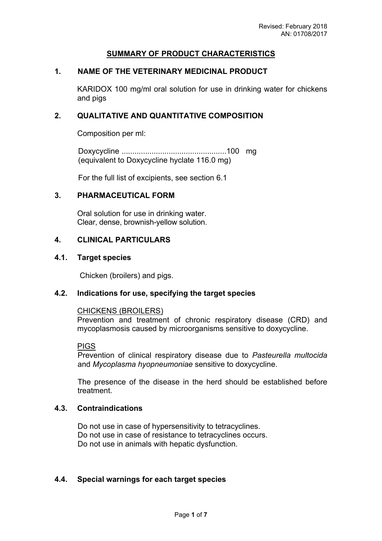# **SUMMARY OF PRODUCT CHARACTERISTICS**

## **1. NAME OF THE VETERINARY MEDICINAL PRODUCT**

KARIDOX 100 mg/ml oral solution for use in drinking water for chickens and pigs

## **2. QUALITATIVE AND QUANTITATIVE COMPOSITION**

Composition per ml:

Doxycycline .................................................100 mg (equivalent to Doxycycline hyclate 116.0 mg)

For the full list of excipients, see section 6.1

# **3. PHARMACEUTICAL FORM**

Oral solution for use in drinking water. Clear, dense, brownish-yellow solution.

## **4. CLINICAL PARTICULARS**

#### **4.1. Target species**

Chicken (broilers) and pigs.

### **4.2. Indications for use, specifying the target species**

#### CHICKENS (BROILERS)

Prevention and treatment of chronic respiratory disease (CRD) and mycoplasmosis caused by microorganisms sensitive to doxycycline.

#### PIGS

Prevention of clinical respiratory disease due to *Pasteurella multocida* and *Mycoplasma hyopneumoniae* sensitive to doxycycline.

The presence of the disease in the herd should be established before treatment.

#### **4.3. Contraindications**

Do not use in case of hypersensitivity to tetracyclines. Do not use in case of resistance to tetracyclines occurs. Do not use in animals with hepatic dysfunction.

#### **4.4. Special warnings for each target species**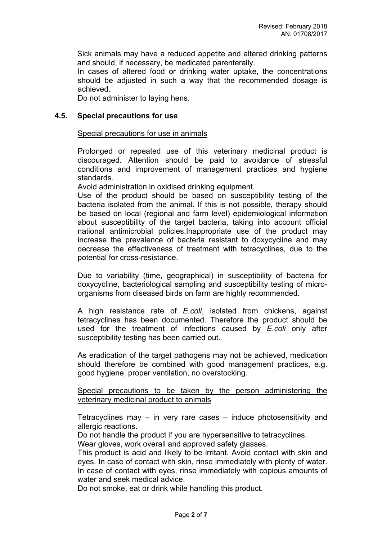Sick animals may have a reduced appetite and altered drinking patterns and should, if necessary, be medicated parenterally.

In cases of altered food or drinking water uptake, the concentrations should be adjusted in such a way that the recommended dosage is achieved.

Do not administer to laying hens.

## **4.5. Special precautions for use**

### Special precautions for use in animals

Prolonged or repeated use of this veterinary medicinal product is discouraged. Attention should be paid to avoidance of stressful conditions and improvement of management practices and hygiene standards.

Avoid administration in oxidised drinking equipment.

Use of the product should be based on susceptibility testing of the bacteria isolated from the animal. If this is not possible, therapy should be based on local (regional and farm level) epidemiological information about susceptibility of the target bacteria, taking into account official national antimicrobial policies.Inappropriate use of the product may increase the prevalence of bacteria resistant to doxycycline and may decrease the effectiveness of treatment with tetracyclines, due to the potential for cross-resistance.

Due to variability (time, geographical) in susceptibility of bacteria for doxycycline, bacteriological sampling and susceptibility testing of microorganisms from diseased birds on farm are highly recommended.

A high resistance rate of *E.coli*, isolated from chickens, against tetracyclines has been documented. Therefore the product should be used for the treatment of infections caused by *E.coli* only after susceptibility testing has been carried out.

As eradication of the target pathogens may not be achieved, medication should therefore be combined with good management practices, e.g. good hygiene, proper ventilation, no overstocking.

## Special precautions to be taken by the person administering the veterinary medicinal product to animals

Tetracyclines may – in very rare cases – induce photosensitivity and allergic reactions.

Do not handle the product if you are hypersensitive to tetracyclines. Wear gloves, work overall and approved safety glasses.

This product is acid and likely to be irritant. Avoid contact with skin and eyes. In case of contact with skin, rinse immediately with plenty of water. In case of contact with eyes, rinse immediately with copious amounts of water and seek medical advice.

Do not smoke, eat or drink while handling this product.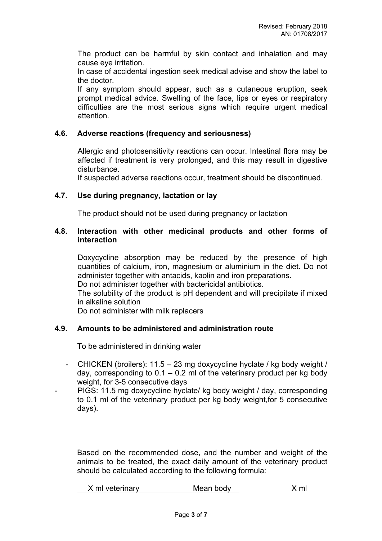The product can be harmful by skin contact and inhalation and may cause eye irritation.

In case of accidental ingestion seek medical advise and show the label to the doctor.

If any symptom should appear, such as a cutaneous eruption, seek prompt medical advice. Swelling of the face, lips or eyes or respiratory difficulties are the most serious signs which require urgent medical attention.

# **4.6. Adverse reactions (frequency and seriousness)**

Allergic and photosensitivity reactions can occur. Intestinal flora may be affected if treatment is very prolonged, and this may result in digestive disturbance.

If suspected adverse reactions occur, treatment should be discontinued.

# **4.7. Use during pregnancy, lactation or lay**

The product should not be used during pregnancy or lactation

## **4.8. Interaction with other medicinal products and other forms of interaction**

Doxycycline absorption may be reduced by the presence of high quantities of calcium, iron, magnesium or aluminium in the diet. Do not administer together with antacids, kaolin and iron preparations.

Do not administer together with bactericidal antibiotics.

The solubility of the product is pH dependent and will precipitate if mixed in alkaline solution

Do not administer with milk replacers

# **4.9. Amounts to be administered and administration route**

To be administered in drinking water

- CHICKEN (broilers): 11.5 23 mg doxycycline hyclate / kg body weight / day, corresponding to  $0.1 - 0.2$  ml of the veterinary product per kg body weight, for 3-5 consecutive days
- PIGS: 11.5 mg doxycycline hyclate/ kg body weight / day, corresponding to 0.1 ml of the veterinary product per kg body weight,for 5 consecutive days).

Based on the recommended dose, and the number and weight of the animals to be treated, the exact daily amount of the veterinary product should be calculated according to the following formula:

|  | X ml veterinary | Mean body | X m |
|--|-----------------|-----------|-----|
|--|-----------------|-----------|-----|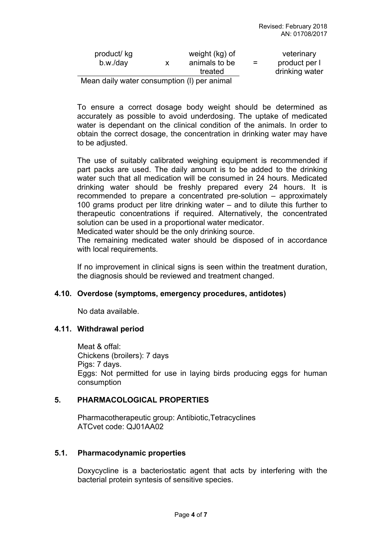|             | $\sim$ $\sim$ $\sim$ |     |                |
|-------------|----------------------|-----|----------------|
|             | treated              |     | drinking water |
| b.w./day    | animals to be        | $=$ | product per l  |
| product/ kg | weight (kg) of       |     | veterinary     |

Mean daily water consumption (l) per animal

To ensure a correct dosage body weight should be determined as accurately as possible to avoid underdosing. The uptake of medicated water is dependant on the clinical condition of the animals. In order to obtain the correct dosage, the concentration in drinking water may have to be adjusted.

The use of suitably calibrated weighing equipment is recommended if part packs are used. The daily amount is to be added to the drinking water such that all medication will be consumed in 24 hours. Medicated drinking water should be freshly prepared every 24 hours. It is recommended to prepare a concentrated pre-solution – approximately 100 grams product per litre drinking water – and to dilute this further to therapeutic concentrations if required. Alternatively, the concentrated solution can be used in a proportional water medicator.

Medicated water should be the only drinking source.

The remaining medicated water should be disposed of in accordance with local requirements.

If no improvement in clinical signs is seen within the treatment duration, the diagnosis should be reviewed and treatment changed.

# **4.10. Overdose (symptoms, emergency procedures, antidotes)**

No data available.

#### **4.11. Withdrawal period**

Meat & offal: Chickens (broilers): 7 days Pigs: 7 days. Eggs: Not permitted for use in laying birds producing eggs for human consumption

# **5. PHARMACOLOGICAL PROPERTIES**

Pharmacotherapeutic group: Antibiotic,Tetracyclines ATCvet code: QJ01AA02

### **5.1. Pharmacodynamic properties**

Doxycycline is a bacteriostatic agent that acts by interfering with the bacterial protein syntesis of sensitive species.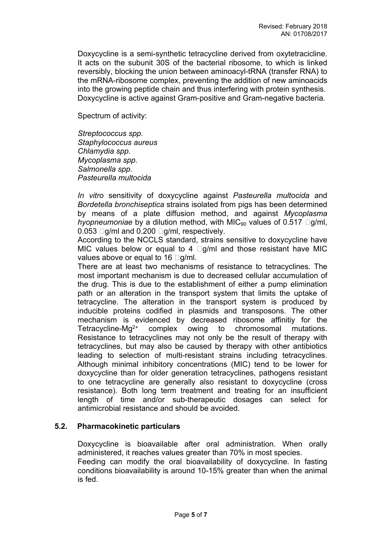Doxycycline is a semi-synthetic tetracycline derived from oxytetracicline. It acts on the subunit 30S of the bacterial ribosome, to which is linked reversibly, blocking the union between aminoacyl-tRNA (transfer RNA) to the mRNA-ribosome complex, preventing the addition of new aminoacids into the growing peptide chain and thus interfering with protein synthesis. Doxycycline is active against Gram-positive and Gram-negative bacteria.

Spectrum of activity:

*Streptococcus spp. Staphylococcus aureus Chlamydia spp. Mycoplasma spp. Salmonella spp. Pasteurella multocida*

*In vitro* sensitivity of doxycycline against *Pasteurella multocida* and *Bordetella bronchiseptica* strains isolated from pigs has been determined by means of a plate diffusion method, and against *Mycoplasma hyopneumoniae* by a dilution method, with MIC<sub>90</sub> values of 0.517  $\Box q/ml$ ,  $0.053$   $\Box$ g/ml and  $0.200$   $\Box$ g/ml, respectively.

According to the NCCLS standard, strains sensitive to doxycycline have MIC values below or equal to 4  $\Box$ g/ml and those resistant have MIC values above or equal to 16  $\Box$  g/ml.

There are at least two mechanisms of resistance to tetracyclines. The most important mechanism is due to decreased cellular accumulation of the drug. This is due to the establishment of either a pump elimination path or an alteration in the transport system that limits the uptake of tetracycline. The alteration in the transport system is produced by inducible proteins codified in plasmids and transposons. The other mechanism is evidenced by decreased ribosome affinitiy for the Tetracycline-Mg2+ complex owing to chromosomal mutations. Resistance to tetracyclines may not only be the result of therapy with tetracyclines, but may also be caused by therapy with other antibiotics leading to selection of multi-resistant strains including tetracyclines. Although minimal inhibitory concentrations (MIC) tend to be lower for doxycycline than for older generation tetracyclines, pathogens resistant to one tetracycline are generally also resistant to doxycycline (cross resistance). Both long term treatment and treating for an insufficient length of time and/or sub-therapeutic dosages can select for antimicrobial resistance and should be avoided.

# **5.2. Pharmacokinetic particulars**

Doxycycline is bioavailable after oral administration. When orally administered, it reaches values greater than 70% in most species.

Feeding can modify the oral bioavailability of doxycycline. In fasting conditions bioavailability is around 10-15% greater than when the animal is fed.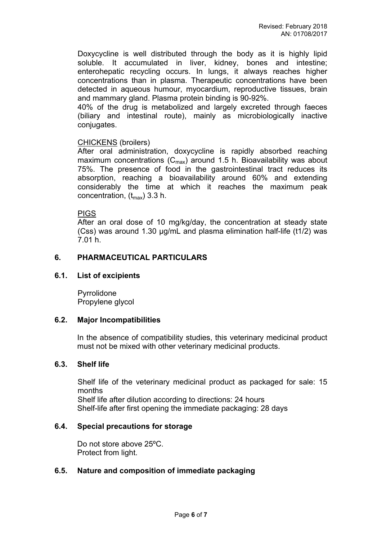Doxycycline is well distributed through the body as it is highly lipid soluble. It accumulated in liver, kidney, bones and intestine; enterohepatic recycling occurs. In lungs, it always reaches higher concentrations than in plasma. Therapeutic concentrations have been detected in aqueous humour, myocardium, reproductive tissues, brain and mammary gland. Plasma protein binding is 90-92%.

40% of the drug is metabolized and largely excreted through faeces (biliary and intestinal route), mainly as microbiologically inactive conjugates.

# CHICKENS (broilers)

After oral administration, doxycycline is rapidly absorbed reaching maximum concentrations  $(C_{\text{max}})$  around 1.5 h. Bioavailability was about 75%. The presence of food in the gastrointestinal tract reduces its absorption, reaching a bioavailability around 60% and extending considerably the time at which it reaches the maximum peak concentration,  $(t_{\text{max}})$  3.3 h.

#### PIGS

After an oral dose of 10 mg/kg/day, the concentration at steady state (Css) was around 1.30 µg/mL and plasma elimination half-life (t1/2) was 7.01 h.

# **6. PHARMACEUTICAL PARTICULARS**

# **6.1. List of excipients**

Pyrrolidone Propylene glycol

#### **6.2. Major Incompatibilities**

In the absence of compatibility studies, this veterinary medicinal product must not be mixed with other veterinary medicinal products.

## **6.3. Shelf life**

Shelf life of the veterinary medicinal product as packaged for sale: 15 months Shelf life after dilution according to directions: 24 hours Shelf-life after first opening the immediate packaging: 28 days

# **6.4. Special precautions for storage**

Do not store above 25ºC. Protect from light.

# **6.5. Nature and composition of immediate packaging**